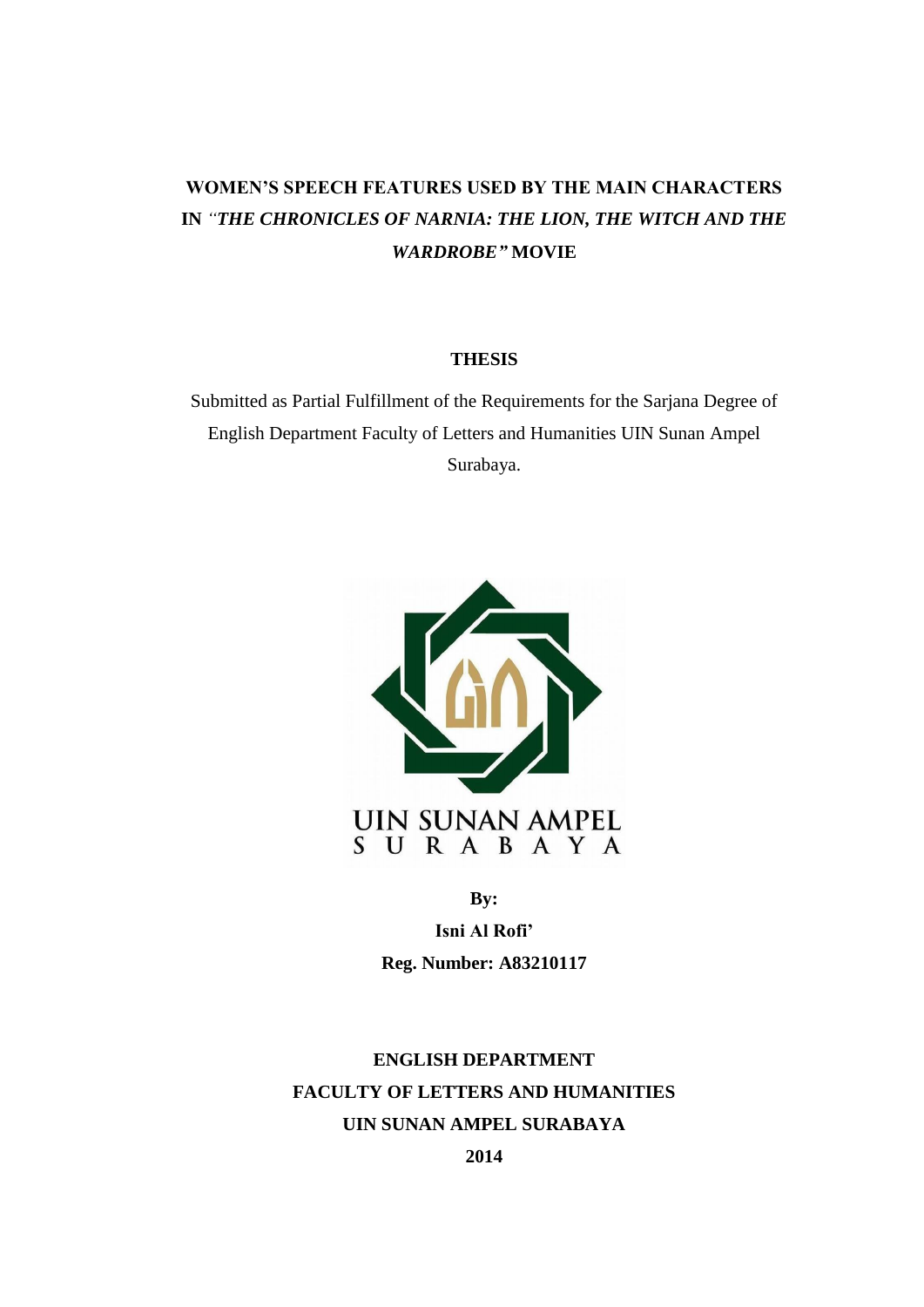# **WOMEN'S SPEECH FEATURES USED BY THE MAIN CHARACTERS IN** *"THE CHRONICLES OF NARNIA: THE LION, THE WITCH AND THE WARDROBE"* **MOVIE**

### **THESIS**

Submitted as Partial Fulfillment of the Requirements for the Sarjana Degree of English Department Faculty of Letters and Humanities UIN Sunan Ampel Surabaya.



**By:**

**Isni Al Rofi' Reg. Number: A83210117**

**ENGLISH DEPARTMENT FACULTY OF LETTERS AND HUMANITIES UIN SUNAN AMPEL SURABAYA**

**2014**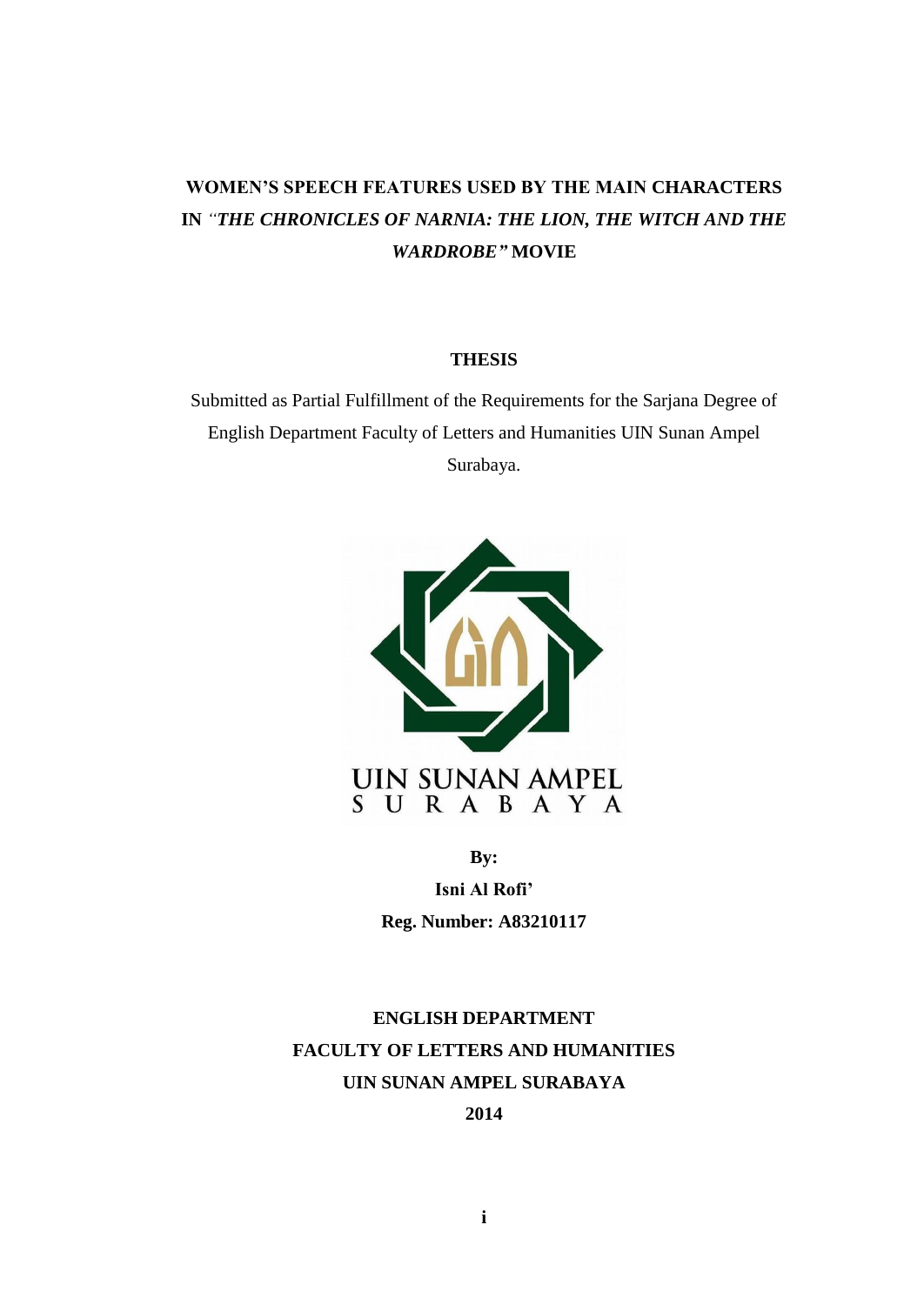# **WOMEN'S SPEECH FEATURES USED BY THE MAIN CHARACTERS IN** *"THE CHRONICLES OF NARNIA: THE LION, THE WITCH AND THE WARDROBE"* **MOVIE**

### **THESIS**

Submitted as Partial Fulfillment of the Requirements for the Sarjana Degree of English Department Faculty of Letters and Humanities UIN Sunan Ampel Surabaya.



**By: Isni Al Rofi' Reg. Number: A83210117**

**ENGLISH DEPARTMENT FACULTY OF LETTERS AND HUMANITIES UIN SUNAN AMPEL SURABAYA 2014**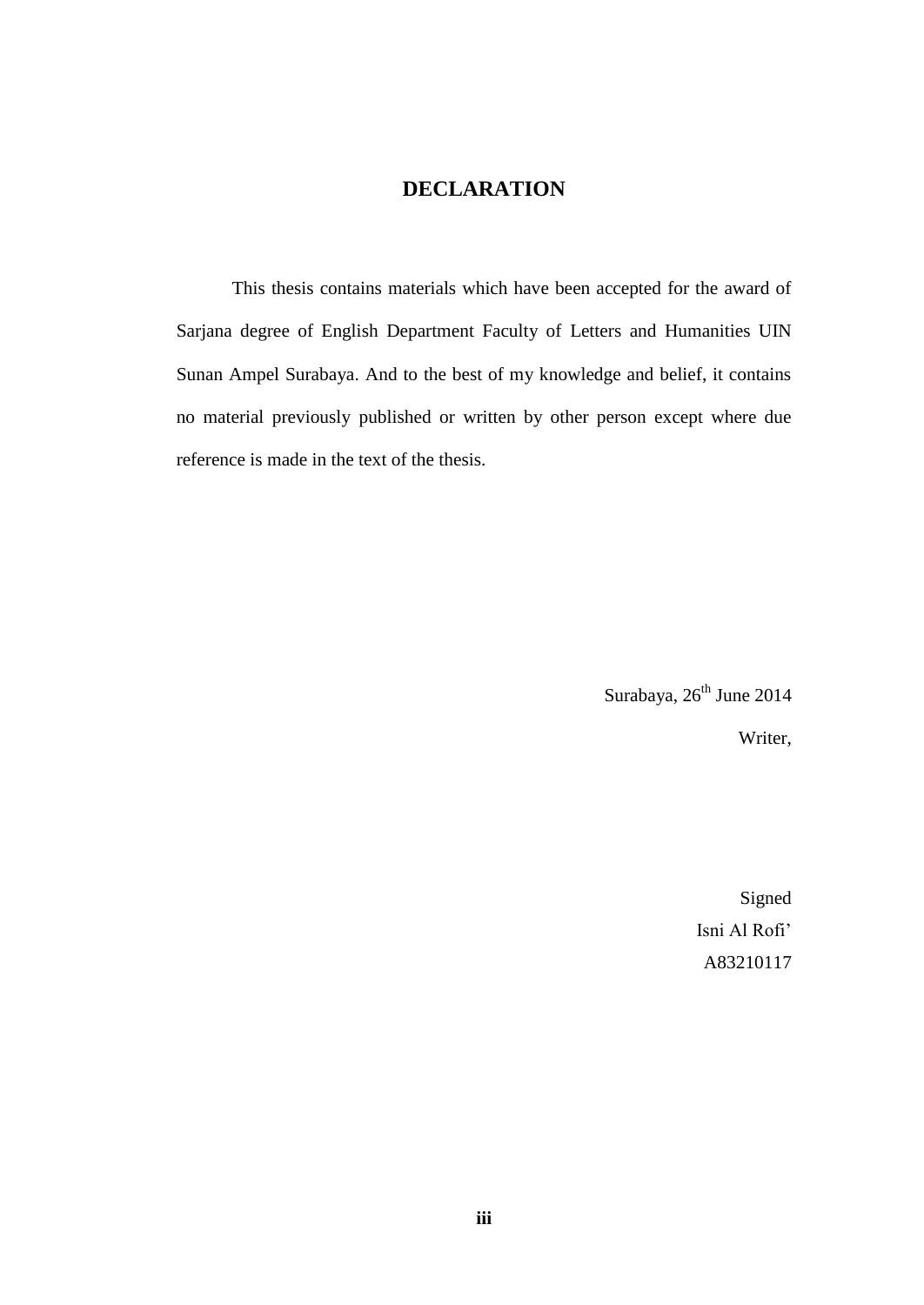## **DECLARATION**

This thesis contains materials which have been accepted for the award of Sarjana degree of English Department Faculty of Letters and Humanities UIN Sunan Ampel Surabaya. And to the best of my knowledge and belief, it contains no material previously published or written by other person except where due reference is made in the text of the thesis.

> Surabaya, 26<sup>th</sup> June 2014 Writer,

> > Signed Isni Al Rofi' A83210117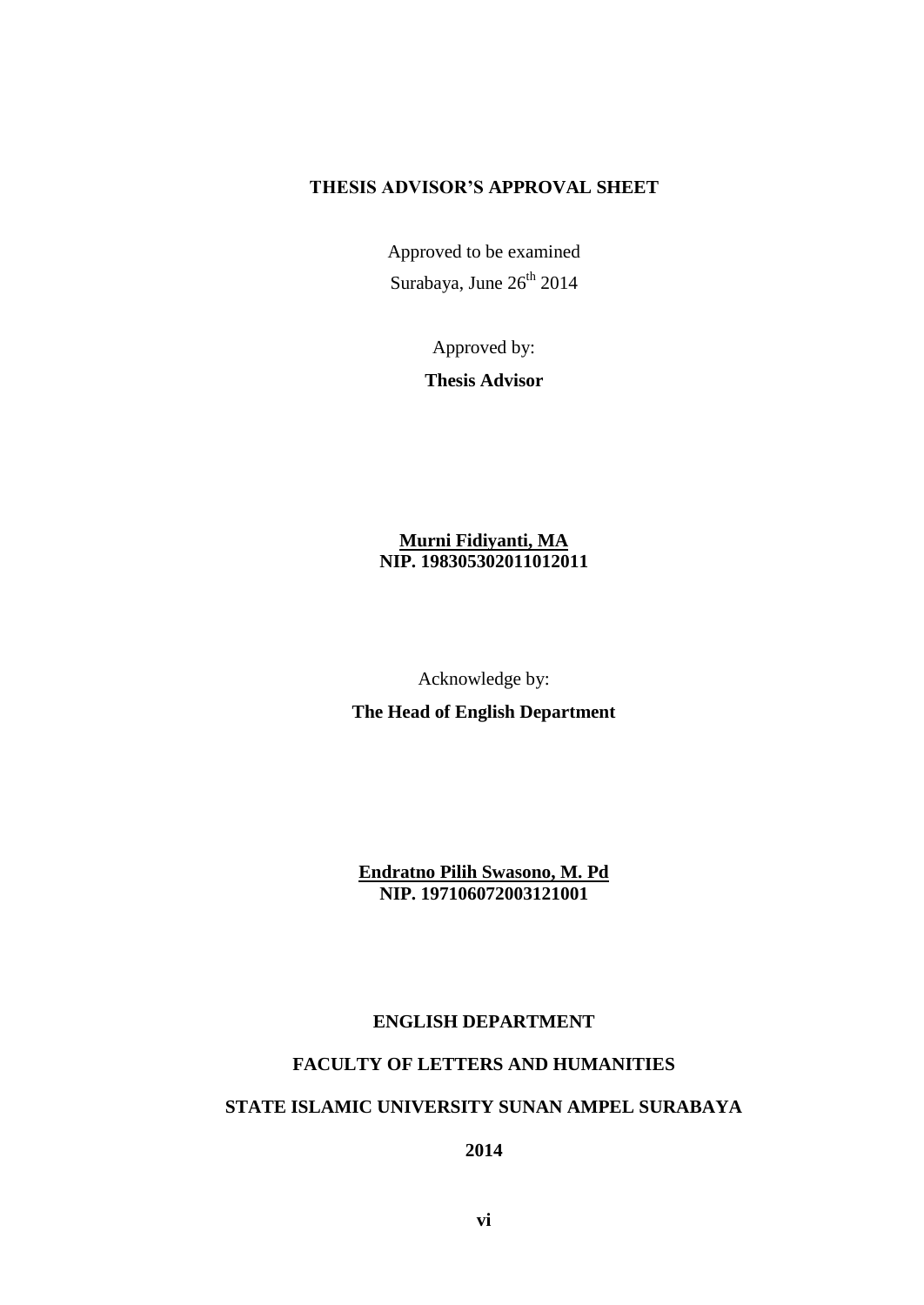## **THESIS ADVISOR'S APPROVAL SHEET**

Approved to be examined Surabaya, June 26<sup>th</sup> 2014

> Approved by: **Thesis Advisor**

## **Murni Fidiyanti, MA NIP. 198305302011012011**

Acknowledge by:

**The Head of English Department**

**Endratno Pilih Swasono, M. Pd NIP. 197106072003121001**

### **ENGLISH DEPARTMENT**

## **FACULTY OF LETTERS AND HUMANITIES**

#### **STATE ISLAMIC UNIVERSITY SUNAN AMPEL SURABAYA**

**2014**